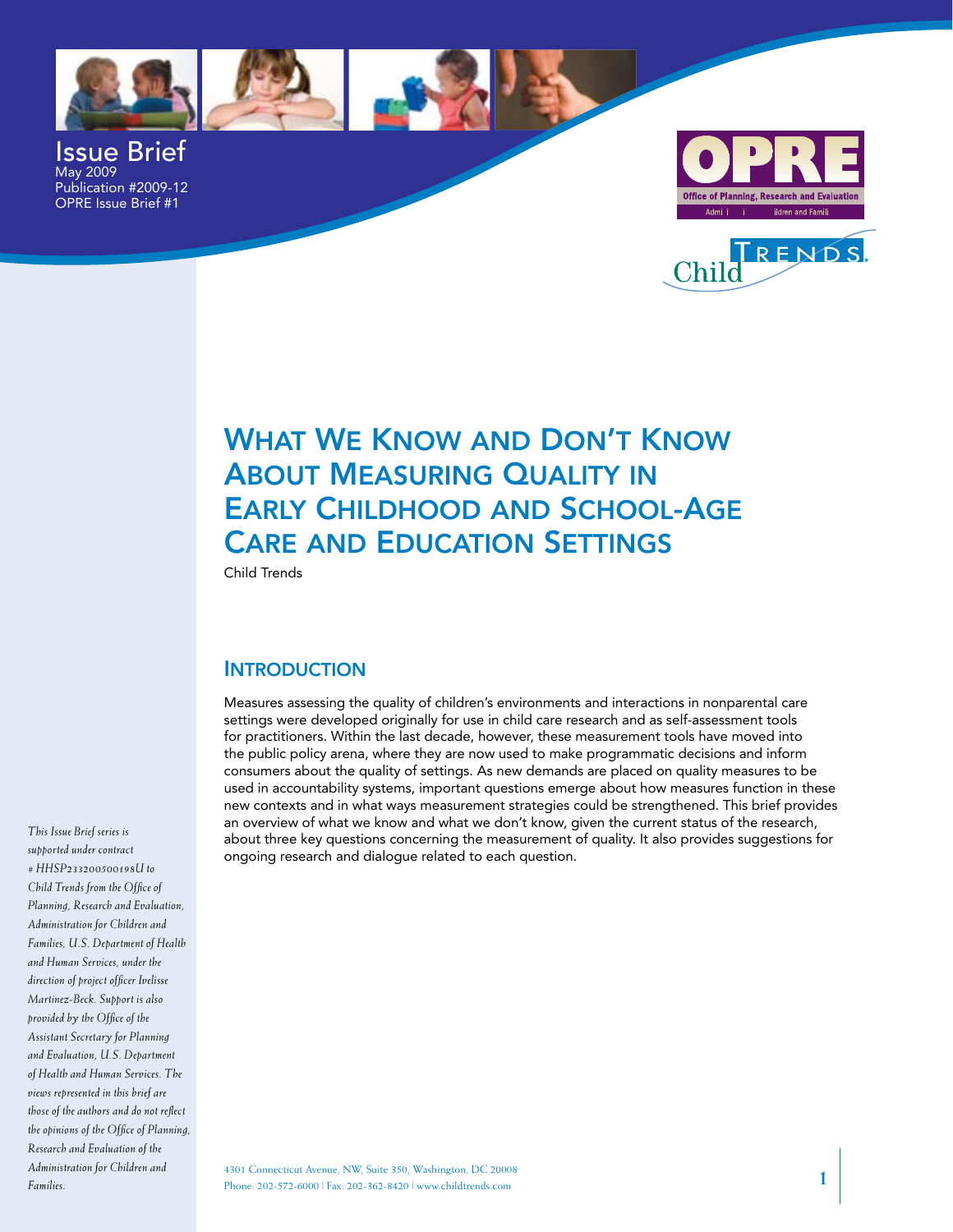



Issue Brief May 2009 Publication #2009-12 OPRE Issue Brief #1





# What We KnoW and don't KnoW **ABOUT MEASURING QUALITY IN** EARLY CHILDHOOD AND SCHOOL-AGE **CARE AND EDUCATION SETTINGS**

Child Trends

### **INTRODUCTION**

 Measures assessing the quality of children's environments and interactions in nonparental care settings were developed originally for use in child care research and as self-assessment tools for practitioners. Within the last decade, however, these measurement tools have moved into the public policy arena, where they are now used to make programmatic decisions and inform consumers about the quality of settings. As new demands are placed on quality measures to be used in accountability systems, important questions emerge about how measures function in these new contexts and in what ways measurement strategies could be strengthened. This brief provides an overview of what we know and what we don't know, given the current status of the research, about three key questions concerning the measurement of quality. It also provides suggestions for ongoing research and dialogue related to each question.

*This Issue Brief series is supported under contract # HHSP233200500198U to Child Trends from the Office of Planning, Research and Evaluation, Administration for Children and Families, U.S. Department of Health and Human Services, under the direction of project officer Ivelisse Martinez-Beck. Support is also provided by the Office of the Assistant Secretary for Planning and Evaluation, U.S. Department of Health and Human Services. The views represented in this brief are those of the authors and do not reflect the opinions of the Office of Planning, Research and Evaluation of the Administration for Children and Families.*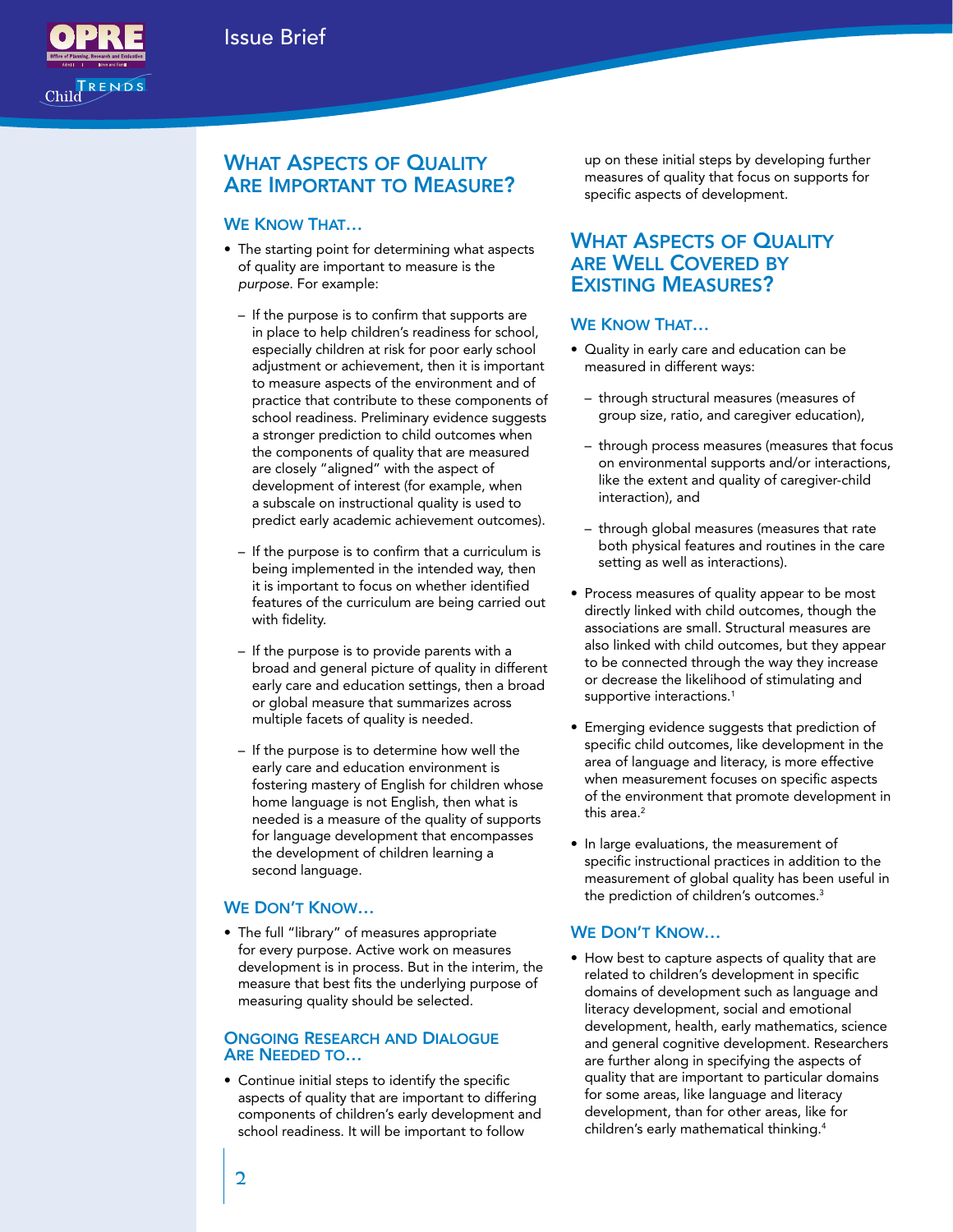

## WHAT ASPECTS OF QUALITY ARE IMPORTANT TO MEASURE?

#### WE KNOW THAT...

- • The starting point for determining what aspects of quality are important to measure is the *purpose*. For example:
	- $-$  If the purpose is to confirm that supports are in place to help children's readiness for school, especially children at risk for poor early school adjustment or achievement, then it is important to measure aspects of the environment and of practice that contribute to these components of school readiness. Preliminary evidence suggests a stronger prediction to child outcomes when the components of quality that are measured are closely "aligned" with the aspect of development of interest (for example, when a subscale on instructional quality is used to predict early academic achievement outcomes).
	- If the purpose is to confirm that a curriculum is being implemented in the intended way, then it is important to focus on whether identified features of the curriculum are being carried out with fidelity.
	- $-$  If the purpose is to provide parents with a broad and general picture of quality in different early care and education settings, then a broad or global measure that summarizes across multiple facets of quality is needed.
	- – If the purpose is to determine how well the early care and education environment is fostering mastery of English for children whose home language is not English, then what is needed is a measure of the quality of supports for language development that encompasses the development of children learning a second language.

#### WE DON'T KNOW...

 • The full "library" of measures appropriate for every purpose. Active work on measures development is in process. But in the interim, the measure that best fits the underlying purpose of measuring quality should be selected.

#### ONGOING RESEARCH AND DIALOGUE are needed to…

 • Continue initial steps to identify the specific aspects of quality that are important to differing components of children's early development and school readiness. It will be important to follow

 up on these initial steps by developing further measures of quality that focus on supports for specific aspects of development.

## WHAT ASPECTS OF QUALITY are Well Covered by **EXISTING MEASURES?**

#### WE KNOW THAT...

- • Quality in early care and education can be measured in different ways:
	- through structural measures (measures of group size, ratio, and caregiver education),
	- – through process measures (measures that focus on environmental supports and/or interactions, like the extent and quality of caregiver-child interaction), and
	- $-$  through global measures (measures that rate both physical features and routines in the care setting as well as interactions).
- Process measures of quality appear to be most directly linked with child outcomes, though the associations are small. Structural measures are also linked with child outcomes, but they appear to be connected through the way they increase or decrease the likelihood of stimulating and supportive interactions.<sup>1</sup>
- **•** Emerging evidence suggests that prediction of specific child outcomes, like development in the area of language and literacy, is more effective when measurement focuses on specific aspects of the environment that promote development in this area.<sup>2</sup>
- In large evaluations, the measurement of specific instructional practices in addition to the measurement of global quality has been useful in the prediction of children's outcomes.3

#### WE DON'T KNOW...

• How best to capture aspects of quality that are related to children's development in specific domains of development such as language and literacy development, social and emotional development, health, early mathematics, science and general cognitive development. Researchers are further along in specifying the aspects of quality that are important to particular domains for some areas, like language and literacy development, than for other areas, like for children's early mathematical thinking.4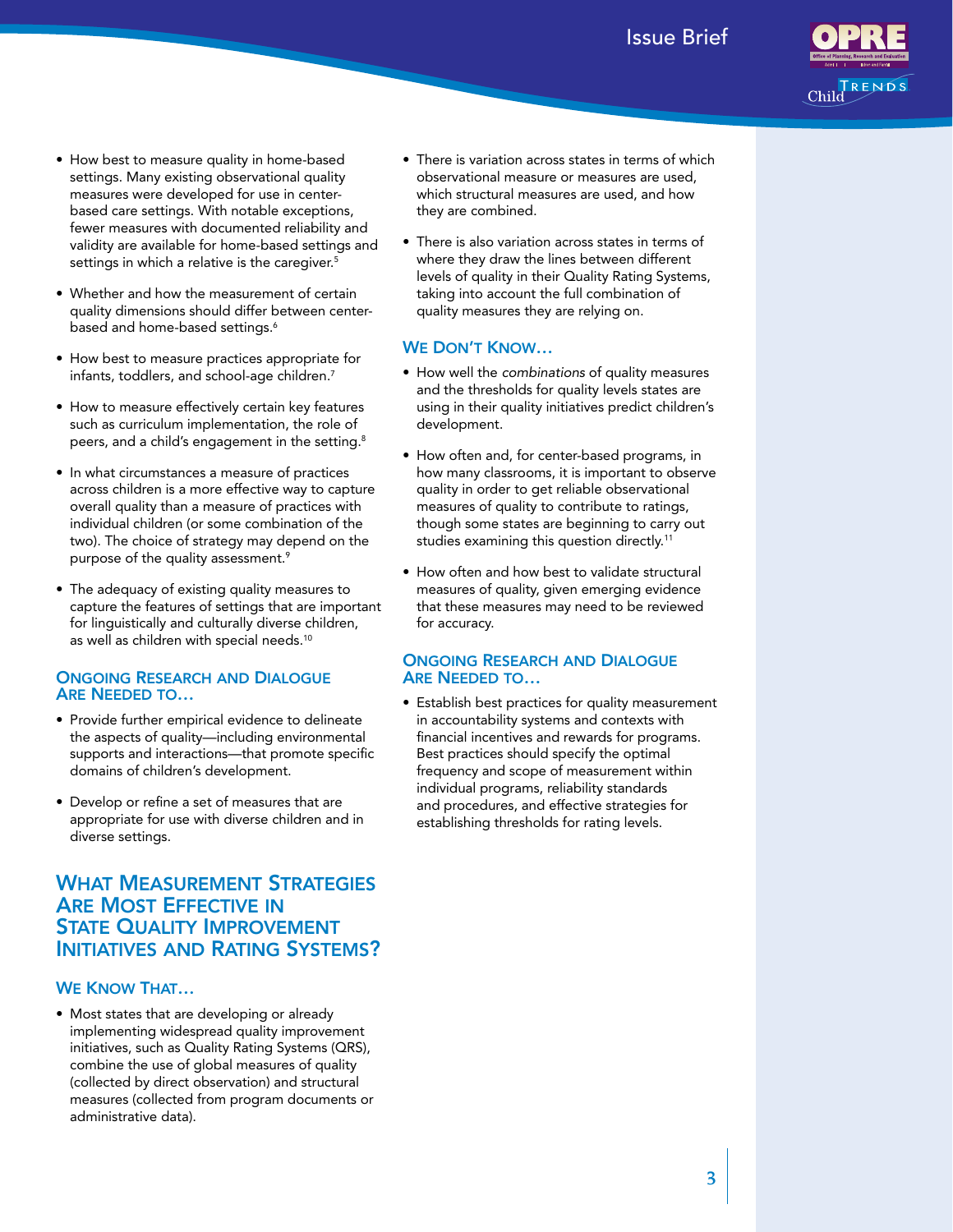## Issue Brief



- • How best to measure quality in home-based settings. Many existing observational quality measures were developed for use in center- based care settings. With notable exceptions, fewer measures with documented reliability and validity are available for home-based settings and settings in which a relative is the caregiver. $5$
- • Whether and how the measurement of certain quality dimensions should differ between centerbased and home-based settings.<sup>6</sup>
- • How best to measure practices appropriate for infants, toddlers, and school-age children.<sup>7</sup>
- • How to measure effectively certain key features such as curriculum implementation, the role of peers, and a child's engagement in the setting. $8$
- In what circumstances a measure of practices across children is a more effective way to capture overall quality than a measure of practices with individual children (or some combination of the two). The choice of strategy may depend on the purpose of the quality assessment. $9$
- • The adequacy of existing quality measures to capture the features of settings that are important for linguistically and culturally diverse children, as well as children with special needs. $^{\rm 10}$

#### ONGOING RESEARCH AND DIALOGUE are needed to…

- • Provide further empirical evidence to delineate the aspects of quality—including environmental supports and interactions—that promote specific domains of children's development.
- • Develop or refine a set of measures that are appropriate for use with diverse children and in diverse settings.

## WHAT MEASUREMENT STRATEGIES STATE QUALITY IMPROVEMENT **ARE MOST EFFECTIVE IN** INITIATIVES AND RATING SYSTEMS?

#### WE KNOW THAT...

 • Most states that are developing or already implementing widespread quality improvement initiatives, such as Quality Rating Systems (QRS), combine the use of global measures of quality (collected by direct observation) and structural measures (collected from program documents or administrative data).

- There is variation across states in terms of which observational measure or measures are used, which structural measures are used, and how they are combined.
- There is also variation across states in terms of where they draw the lines between different levels of quality in their Quality Rating Systems, taking into account the full combination of quality measures they are relying on.

#### WE DON'T KNOW...

- • How well the *combinations* of quality measures and the thresholds for quality levels states are using in their quality initiatives predict children's development.
- How often and, for center-based programs, in how many classrooms, it is important to observe quality in order to get reliable observational measures of quality to contribute to ratings, though some states are beginning to carry out studies examining this question directly.<sup>11</sup>
- How often and how best to validate structural measures of quality, given emerging evidence that these measures may need to be reviewed for accuracy.

#### ONGOING RESEARCH AND DIALOGUE are needed to…

**•** Establish best practices for quality measurement in accountability systems and contexts with financial incentives and rewards for programs. Best practices should specify the optimal frequency and scope of measurement within individual programs, reliability standards and procedures, and effective strategies for establishing thresholds for rating levels.